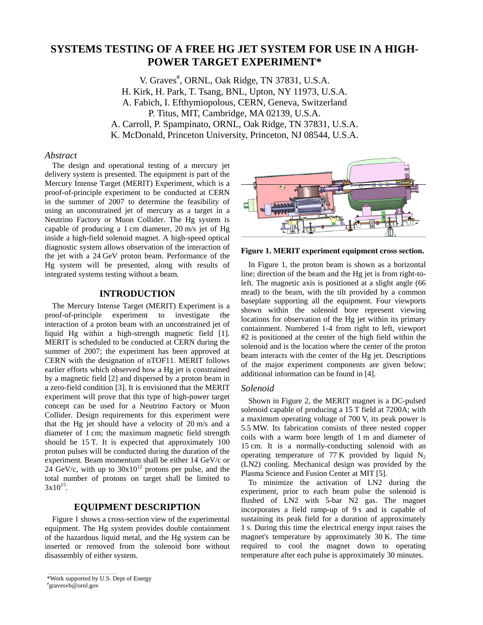# **SYSTEMS TESTING OF A FREE HG JET SYSTEM FOR USE IN A HIGH-POWER TARGET EXPERIMENT\***

V. Graves<sup>#</sup>, ORNL, Oak Ridge, TN 37831, U.S.A. H. Kirk, H. Park, T. Tsang, BNL, Upton, NY 11973, U.S.A. A. Fabich, I. Efthymiopolous, CERN, Geneva, Switzerland P. Titus, MIT, Cambridge, MA 02139, U.S.A. A. Carroll, P. Spampinato, ORNL, Oak Ridge, TN 37831, U.S.A. K. McDonald, Princeton University, Princeton, NJ 08544, U.S.A.

## *Abstract*

The design and operational testing of a mercury jet delivery system is presented. The equipment is part of the Mercury Intense Target (MERIT) Experiment, which is a proof-of-principle experiment to be conducted at CERN in the summer of 2007 to determine the feasibility of using an unconstrained jet of mercury as a target in a Neutrino Factory or Muon Collider. The Hg system is capable of producing a 1 cm diameter, 20 m/s jet of Hg inside a high-field solenoid magnet. A high-speed optical diagnostic system allows observation of the interaction of the jet with a 24 GeV proton beam. Performance of the Hg system will be presented, along with results of integrated systems testing without a beam.

## **INTRODUCTION**

The Mercury Intense Target (MERIT) Experiment is a proof-of-principle experiment to investigate the interaction of a proton beam with an unconstrained jet of liquid Hg within a high-strength magnetic field [1]. MERIT is scheduled to be conducted at CERN during the summer of 2007; the experiment has been approved at CERN with the designation of nTOF11. MERIT follows earlier efforts which observed how a Hg jet is constrained by a magnetic field [2] and dispersed by a proton beam in a zero-field condition [3]. It is envisioned that the MERIT experiment will prove that this type of high-power target concept can be used for a Neutrino Factory or Muon Collider. Design requirements for this experiment were that the Hg jet should have a velocity of 20 m/s and a diameter of 1 cm; the maximum magnetic field strength should be 15 T. It is expected that approximately 100 proton pulses will be conducted during the duration of the experiment. Beam momentum shall be either 14 GeV/c or  $24$  GeV/c, with up to  $30x10^{12}$  protons per pulse, and the total number of protons on target shall be limited to  $3x10^{15}$ .

# **EQUIPMENT DESCRIPTION**

Figure 1 shows a cross-section view of the experimental equipment. The Hg system provides double containment of the hazardous liquid metal, and the Hg system can be inserted or removed from the solenoid bore without disassembly of either system.



**Figure 1. MERIT experiment equipment cross section.** 

In Figure 1, the proton beam is shown as a horizontal line; direction of the beam and the Hg jet is from right-toleft. The magnetic axis is positioned at a slight angle (66 mrad) to the beam, with the tilt provided by a common baseplate supporting all the equipment. Four viewports shown within the solenoid bore represent viewing locations for observation of the Hg jet within its primary containment. Numbered 1-4 from right to left, viewport #2 is positioned at the center of the high field within the solenoid and is the location where the center of the proton beam interacts with the center of the Hg jet. Descriptions of the major experiment components are given below; additional information can be found in [4].

#### *Solenoid*

Shown in Figure 2, the MERIT magnet is a DC-pulsed solenoid capable of producing a 15 T field at 7200A; with a maximum operating voltage of 700 V, its peak power is 5.5 MW. Its fabrication consists of three nested copper coils with a warm bore length of 1 m and diameter of 15 cm. It is a normally-conducting solenoid with an operating temperature of 77 K provided by liquid  $N_2$ (LN2) cooling. Mechanical design was provided by the Plasma Science and Fusion Center at MIT [5].

To minimize the activation of LN2 during the experiment, prior to each beam pulse the solenoid is flushed of LN2 with 5-bar N2 gas. The magnet incorporates a field ramp-up of 9 s and is capable of sustaining its peak field for a duration of approximately 1 s. During this time the electrical energy input raises the magnet's temperature by approximately 30 K. The time required to cool the magnet down to operating temperature after each pulse is approximately 30 minutes.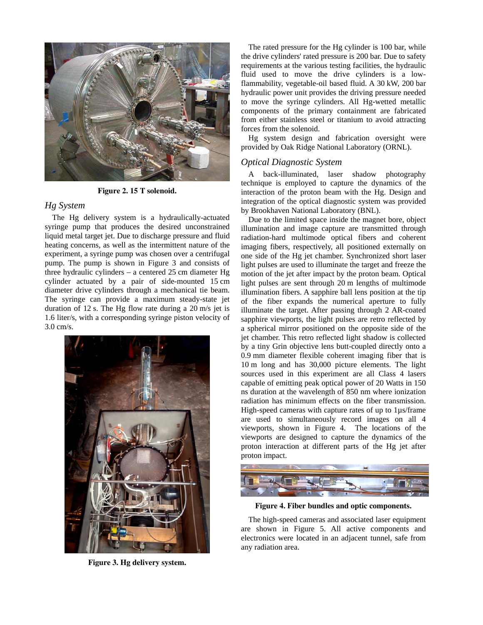

**Figure 2. 15 T solenoid.** 

# *Hg System*

The Hg delivery system is a hydraulically-actuated syringe pump that produces the desired unconstrained liquid metal target jet. Due to discharge pressure and fluid heating concerns, as well as the intermittent nature of the experiment, a syringe pump was chosen over a centrifugal pump. The pump is shown in Figure 3 and consists of three hydraulic cylinders – a centered 25 cm diameter Hg cylinder actuated by a pair of side-mounted 15 cm diameter drive cylinders through a mechanical tie beam. The syringe can provide a maximum steady-state jet duration of 12 s. The Hg flow rate during a 20 m/s jet is 1.6 liter/s, with a corresponding syringe piston velocity of 3.0 cm/s.



**Figure 3. Hg delivery system.** 

The rated pressure for the Hg cylinder is 100 bar, while the drive cylinders' rated pressure is 200 bar. Due to safety requirements at the various testing facilities, the hydraulic fluid used to move the drive cylinders is a lowflammability, vegetable-oil based fluid. A 30 kW, 200 bar hydraulic power unit provides the driving pressure needed to move the syringe cylinders. All Hg-wetted metallic components of the primary containment are fabricated from either stainless steel or titanium to avoid attracting forces from the solenoid.

Hg system design and fabrication oversight were provided by Oak Ridge National Laboratory (ORNL).

#### *Optical Diagnostic System*

A back-illuminated, laser shadow photography technique is employed to capture the dynamics of the interaction of the proton beam with the Hg. Design and integration of the optical diagnostic system was provided by Brookhaven National Laboratory (BNL).

Due to the limited space inside the magnet bore, object illumination and image capture are transmitted through radiation-hard multimode optical fibers and coherent imaging fibers, respectively, all positioned externally on one side of the Hg jet chamber. Synchronized short laser light pulses are used to illuminate the target and freeze the motion of the jet after impact by the proton beam. Optical light pulses are sent through 20 m lengths of multimode illumination fibers. A sapphire ball lens position at the tip of the fiber expands the numerical aperture to fully illuminate the target. After passing through 2 AR-coated sapphire viewports, the light pulses are retro reflected by a spherical mirror positioned on the opposite side of the jet chamber. This retro reflected light shadow is collected by a tiny Grin objective lens butt-coupled directly onto a 0.9 mm diameter flexible coherent imaging fiber that is 10 m long and has 30,000 picture elements. The light sources used in this experiment are all Class 4 lasers capable of emitting peak optical power of 20 Watts in 150 ns duration at the wavelength of 850 nm where ionization radiation has minimum effects on the fiber transmission. High-speed cameras with capture rates of up to 1µs/frame are used to simultaneously record images on all 4 viewports, shown in Figure 4. The locations of the viewports are designed to capture the dynamics of the proton interaction at different parts of the Hg jet after proton impact.



**Figure 4. Fiber bundles and optic components.** 

The high-speed cameras and associated laser equipment are shown in Figure 5. All active components and electronics were located in an adjacent tunnel, safe from any radiation area.